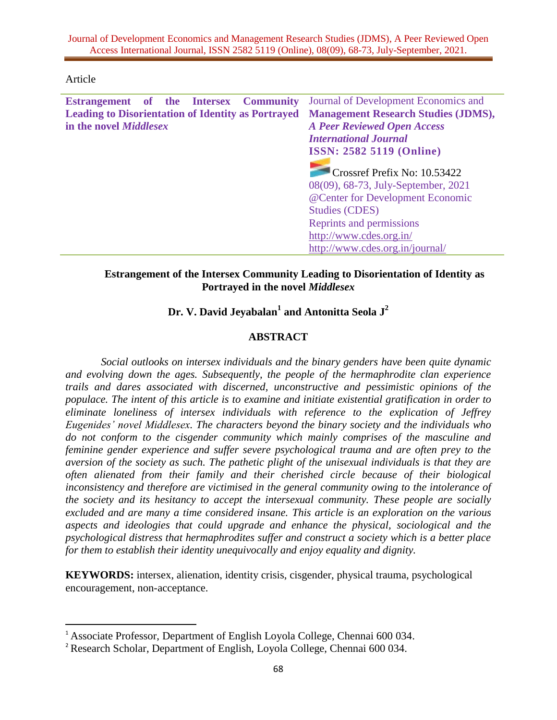## Article

l

| Estrangement of the Intersex Community                    |  |  |  |  | Journal of Development Economics and                                                                                             |
|-----------------------------------------------------------|--|--|--|--|----------------------------------------------------------------------------------------------------------------------------------|
| <b>Leading to Disorientation of Identity as Portrayed</b> |  |  |  |  | <b>Management Research Studies (JDMS),</b>                                                                                       |
| in the novel <i>Middlesex</i>                             |  |  |  |  | <b>A Peer Reviewed Open Access</b>                                                                                               |
|                                                           |  |  |  |  | <b>International Journal</b>                                                                                                     |
|                                                           |  |  |  |  | <b>ISSN: 2582 5119 (Online)</b>                                                                                                  |
|                                                           |  |  |  |  | Crossref Prefix No: 10.53422<br>08(09), 68-73, July-September, 2021<br>@Center for Development Economic<br><b>Studies (CDES)</b> |
|                                                           |  |  |  |  | Reprints and permissions                                                                                                         |
|                                                           |  |  |  |  | http://www.cdes.org.in/                                                                                                          |
|                                                           |  |  |  |  | http://www.cdes.org.in/journal/                                                                                                  |
|                                                           |  |  |  |  |                                                                                                                                  |

# **Estrangement of the Intersex Community Leading to Disorientation of Identity as Portrayed in the novel** *Middlesex*

# **Dr. V. David Jeyabalan<sup>1</sup> and Antonitta Seola J<sup>2</sup>**

# **ABSTRACT**

*Social outlooks on intersex individuals and the binary genders have been quite dynamic and evolving down the ages. Subsequently, the people of the hermaphrodite clan experience trails and dares associated with discerned, unconstructive and pessimistic opinions of the populace. The intent of this article is to examine and initiate existential gratification in order to eliminate loneliness of intersex individuals with reference to the explication of Jeffrey Eugenides' novel Middlesex. The characters beyond the binary society and the individuals who do not conform to the cisgender community which mainly comprises of the masculine and feminine gender experience and suffer severe psychological trauma and are often prey to the aversion of the society as such. The pathetic plight of the unisexual individuals is that they are often alienated from their family and their cherished circle because of their biological inconsistency and therefore are victimised in the general community owing to the intolerance of the society and its hesitancy to accept the intersexual community. These people are socially excluded and are many a time considered insane. This article is an exploration on the various aspects and ideologies that could upgrade and enhance the physical, sociological and the psychological distress that hermaphrodites suffer and construct a society which is a better place for them to establish their identity unequivocally and enjoy equality and dignity.*

**KEYWORDS:** intersex, alienation, identity crisis, cisgender, physical trauma, psychological encouragement, non-acceptance.

<sup>&</sup>lt;sup>1</sup> Associate Professor, Department of English Loyola College, Chennai 600 034.

<sup>&</sup>lt;sup>2</sup> Research Scholar, Department of English, Loyola College, Chennai 600 034.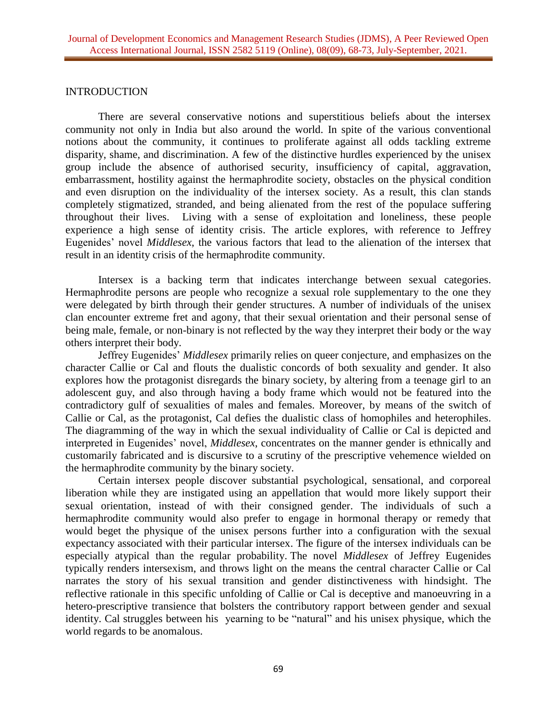#### INTRODUCTION

There are several conservative notions and superstitious beliefs about the intersex community not only in India but also around the world. In spite of the various conventional notions about the community, it continues to proliferate against all odds tackling extreme disparity, shame, and discrimination. A few of the distinctive hurdles experienced by the unisex group include the absence of authorised security, insufficiency of capital, aggravation, embarrassment, hostility against the hermaphrodite society, obstacles on the physical condition and even disruption on the individuality of the intersex society. As a result, this clan stands completely stigmatized, stranded, and being alienated from the rest of the populace suffering throughout their lives. Living with a sense of exploitation and loneliness, these people experience a high sense of identity crisis. The article explores, with reference to Jeffrey Eugenides' novel *Middlesex*, the various factors that lead to the alienation of the intersex that result in an identity crisis of the hermaphrodite community.

Intersex is a backing term that indicates interchange between sexual categories. Hermaphrodite persons are people who recognize a sexual role supplementary to the one they were delegated by birth through their gender structures. A number of individuals of the unisex clan encounter extreme fret and agony, that their sexual orientation and their personal sense of being male, female, or non-binary is not reflected by the way they interpret their body or the way others interpret their body.

Jeffrey Eugenides' *Middlesex* primarily relies on queer conjecture, and emphasizes on the character Callie or Cal and flouts the dualistic concords of both sexuality and gender. It also explores how the protagonist disregards the binary society, by altering from a teenage girl to an adolescent guy, and also through having a body frame which would not be featured into the contradictory gulf of sexualities of males and females. Moreover, by means of the switch of Callie or Cal, as the protagonist, Cal defies the dualistic class of homophiles and heterophiles. The diagramming of the way in which the sexual individuality of Callie or Cal is depicted and interpreted in Eugenides' novel, *Middlesex*, concentrates on the manner gender is ethnically and customarily fabricated and is discursive to a scrutiny of the prescriptive vehemence wielded on the hermaphrodite community by the binary society.

Certain intersex people discover substantial psychological, sensational, and corporeal liberation while they are instigated using an appellation that would more likely support their sexual orientation, instead of with their consigned gender. The individuals of such a hermaphrodite community would also prefer to engage in hormonal therapy or remedy that would beget the physique of the unisex persons further into a configuration with the sexual expectancy associated with their particular intersex. The figure of the intersex individuals can be especially atypical than the regular probability. The novel *Middlesex* of Jeffrey Eugenides typically renders intersexism, and throws light on the means the central character Callie or Cal narrates the story of his sexual transition and gender distinctiveness with hindsight. The reflective rationale in this specific unfolding of Callie or Cal is deceptive and manoeuvring in a hetero-prescriptive transience that bolsters the contributory rapport between gender and sexual identity. Cal struggles between his yearning to be "natural" and his unisex physique, which the world regards to be anomalous.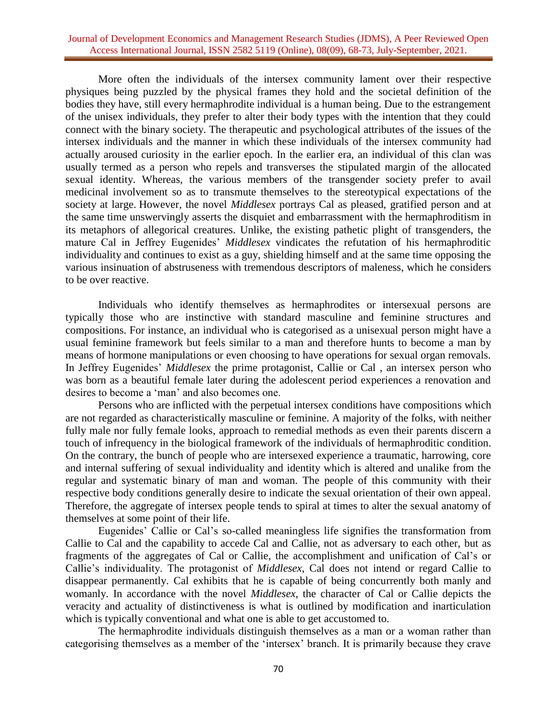## Journal of Development Economics and Management Research Studies (JDMS), A Peer Reviewed Open Access International Journal, ISSN 2582 5119 (Online), 08(09), 68-73, July-September, 2021.

More often the individuals of the intersex community lament over their respective physiques being puzzled by the physical frames they hold and the societal definition of the bodies they have, still every hermaphrodite individual is a human being. Due to the estrangement of the unisex individuals, they prefer to alter their body types with the intention that they could connect with the binary society. The therapeutic and psychological attributes of the issues of the intersex individuals and the manner in which these individuals of the intersex community had actually aroused curiosity in the earlier epoch. In the earlier era, an individual of this clan was usually termed as a person who repels and transverses the stipulated margin of the allocated sexual identity. Whereas, the various members of the transgender society prefer to avail medicinal involvement so as to transmute themselves to the stereotypical expectations of the society at large. However, the novel *Middlesex* portrays Cal as pleased, gratified person and at the same time unswervingly asserts the disquiet and embarrassment with the hermaphroditism in its metaphors of allegorical creatures. Unlike, the existing pathetic plight of transgenders, the mature Cal in Jeffrey Eugenides' *Middlesex* vindicates the refutation of his hermaphroditic individuality and continues to exist as a guy, shielding himself and at the same time opposing the various insinuation of abstruseness with tremendous descriptors of maleness, which he considers to be over reactive.

Individuals who identify themselves as hermaphrodites or intersexual persons are typically those who are instinctive with standard masculine and feminine structures and compositions. For instance, an individual who is categorised as a unisexual person might have a usual feminine framework but feels similar to a man and therefore hunts to become a man by means of hormone manipulations or even choosing to have operations for sexual organ removals. In Jeffrey Eugenides' *Middlesex* the prime protagonist, Callie or Cal , an intersex person who was born as a beautiful female later during the adolescent period experiences a renovation and desires to become a 'man' and also becomes one.

Persons who are inflicted with the perpetual intersex conditions have compositions which are not regarded as characteristically masculine or feminine. A majority of the folks, with neither fully male nor fully female looks, approach to remedial methods as even their parents discern a touch of infrequency in the biological framework of the individuals of hermaphroditic condition. On the contrary, the bunch of people who are intersexed experience a traumatic, harrowing, core and internal suffering of sexual individuality and identity which is altered and unalike from the regular and systematic binary of man and woman. The people of this community with their respective body conditions generally desire to indicate the sexual orientation of their own appeal. Therefore, the aggregate of intersex people tends to spiral at times to alter the sexual anatomy of themselves at some point of their life.

Eugenides' Callie or Cal's so-called meaningless life signifies the transformation from Callie to Cal and the capability to accede Cal and Callie, not as adversary to each other, but as fragments of the aggregates of Cal or Callie, the accomplishment and unification of Cal's or Callie's individuality. The protagonist of *Middlesex*, Cal does not intend or regard Callie to disappear permanently. Cal exhibits that he is capable of being concurrently both manly and womanly. In accordance with the novel *Middlesex*, the character of Cal or Callie depicts the veracity and actuality of distinctiveness is what is outlined by modification and inarticulation which is typically conventional and what one is able to get accustomed to.

The hermaphrodite individuals distinguish themselves as a man or a woman rather than categorising themselves as a member of the 'intersex' branch. It is primarily because they crave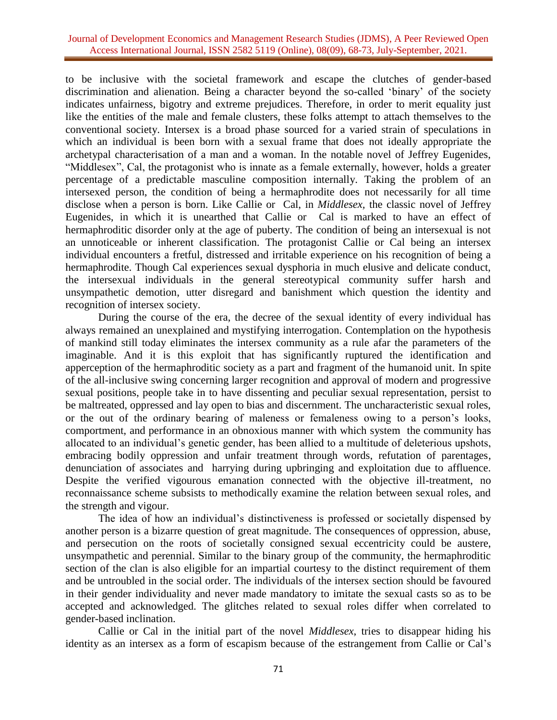## Journal of Development Economics and Management Research Studies (JDMS), A Peer Reviewed Open Access International Journal, ISSN 2582 5119 (Online), 08(09), 68-73, July-September, 2021.

to be inclusive with the societal framework and escape the clutches of gender-based discrimination and alienation. Being a character beyond the so-called 'binary' of the society indicates unfairness, bigotry and extreme prejudices. Therefore, in order to merit equality just like the entities of the male and female clusters, these folks attempt to attach themselves to the conventional society. Intersex is a broad phase sourced for a varied strain of speculations in which an individual is been born with a sexual frame that does not ideally appropriate the archetypal characterisation of a man and a woman. In the notable novel of Jeffrey Eugenides, "Middlesex", Cal, the protagonist who is innate as a female externally, however, holds a greater percentage of a predictable masculine composition internally. Taking the problem of an intersexed person, the condition of being a hermaphrodite does not necessarily for all time disclose when a person is born. Like Callie or Cal, in *Middlesex,* the classic novel of Jeffrey Eugenides, in which it is unearthed that Callie or Cal is marked to have an effect of hermaphroditic disorder only at the age of puberty. The condition of being an intersexual is not an unnoticeable or inherent classification. The protagonist Callie or Cal being an intersex individual encounters a fretful, distressed and irritable experience on his recognition of being a hermaphrodite. Though Cal experiences sexual dysphoria in much elusive and delicate conduct, the intersexual individuals in the general stereotypical community suffer harsh and unsympathetic demotion, utter disregard and banishment which question the identity and recognition of intersex society.

During the course of the era, the decree of the sexual identity of every individual has always remained an unexplained and mystifying interrogation. Contemplation on the hypothesis of mankind still today eliminates the intersex community as a rule afar the parameters of the imaginable. And it is this exploit that has significantly ruptured the identification and apperception of the hermaphroditic society as a part and fragment of the humanoid unit. In spite of the all-inclusive swing concerning larger recognition and approval of modern and progressive sexual positions, people take in to have dissenting and peculiar sexual representation, persist to be maltreated, oppressed and lay open to bias and discernment. The uncharacteristic sexual roles, or the out of the ordinary bearing of maleness or femaleness owing to a person's looks, comportment, and performance in an obnoxious manner with which system the community has allocated to an individual's genetic gender, has been allied to a multitude of deleterious upshots, embracing bodily oppression and unfair treatment through words, refutation of parentages, denunciation of associates and harrying during upbringing and exploitation due to affluence. Despite the verified vigourous emanation connected with the objective ill-treatment, no reconnaissance scheme subsists to methodically examine the relation between sexual roles, and the strength and vigour.

The idea of how an individual's distinctiveness is professed or societally dispensed by another person is a bizarre question of great magnitude. The consequences of oppression, abuse, and persecution on the roots of societally consigned sexual eccentricity could be austere, unsympathetic and perennial. Similar to the binary group of the community, the hermaphroditic section of the clan is also eligible for an impartial courtesy to the distinct requirement of them and be untroubled in the social order. The individuals of the intersex section should be favoured in their gender individuality and never made mandatory to imitate the sexual casts so as to be accepted and acknowledged. The glitches related to sexual roles differ when correlated to gender-based inclination.

Callie or Cal in the initial part of the novel *Middlesex*, tries to disappear hiding his identity as an intersex as a form of escapism because of the estrangement from Callie or Cal's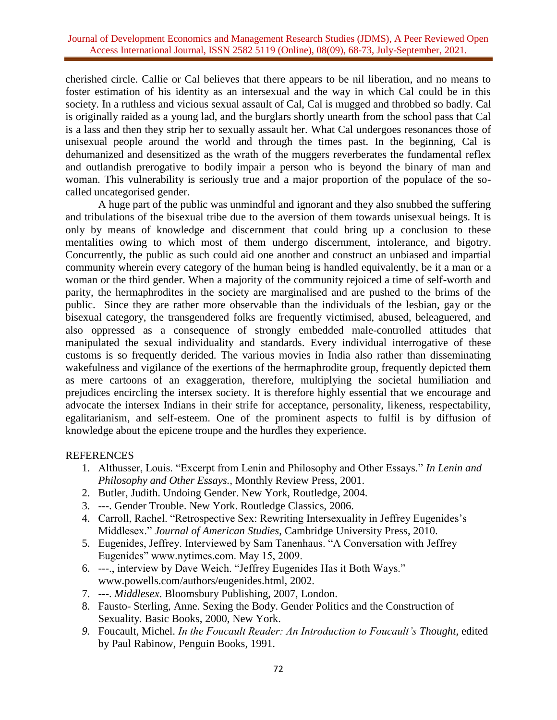cherished circle. Callie or Cal believes that there appears to be nil liberation, and no means to foster estimation of his identity as an intersexual and the way in which Cal could be in this society. In a ruthless and vicious sexual assault of Cal, Cal is mugged and throbbed so badly. Cal is originally raided as a young lad, and the burglars shortly unearth from the school pass that Cal is a lass and then they strip her to sexually assault her. What Cal undergoes resonances those of unisexual people around the world and through the times past. In the beginning, Cal is dehumanized and desensitized as the wrath of the muggers reverberates the fundamental reflex and outlandish prerogative to bodily impair a person who is beyond the binary of man and woman. This vulnerability is seriously true and a major proportion of the populace of the socalled uncategorised gender.

A huge part of the public was unmindful and ignorant and they also snubbed the suffering and tribulations of the bisexual tribe due to the aversion of them towards unisexual beings. It is only by means of knowledge and discernment that could bring up a conclusion to these mentalities owing to which most of them undergo discernment, intolerance, and bigotry. Concurrently, the public as such could aid one another and construct an unbiased and impartial community wherein every category of the human being is handled equivalently, be it a man or a woman or the third gender. When a majority of the community rejoiced a time of self-worth and parity, the hermaphrodites in the society are marginalised and are pushed to the brims of the public. Since they are rather more observable than the individuals of the lesbian, gay or the bisexual category, the transgendered folks are frequently victimised, abused, beleaguered, and also oppressed as a consequence of strongly embedded male-controlled attitudes that manipulated the sexual individuality and standards. Every individual interrogative of these customs is so frequently derided. The various movies in India also rather than disseminating wakefulness and vigilance of the exertions of the hermaphrodite group, frequently depicted them as mere cartoons of an exaggeration, therefore, multiplying the societal humiliation and prejudices encircling the intersex society. It is therefore highly essential that we encourage and advocate the intersex Indians in their strife for acceptance, personality, likeness, respectability, egalitarianism, and self-esteem. One of the prominent aspects to fulfil is by diffusion of knowledge about the epicene troupe and the hurdles they experience.

# **REFERENCES**

- 1. Althusser, Louis. "Excerpt from Lenin and Philosophy and Other Essays." *In Lenin and Philosophy and Other Essays.,* Monthly Review Press, 2001.
- 2. Butler, Judith. Undoing Gender. New York, Routledge, 2004.
- 3. ---. Gender Trouble. New York. Routledge Classics, 2006.
- 4. Carroll, Rachel. "Retrospective Sex: Rewriting Intersexuality in Jeffrey Eugenides's Middlesex." *Journal of American Studies*, Cambridge University Press, 2010.
- 5. Eugenides, Jeffrey. Interviewed by Sam Tanenhaus. "A Conversation with Jeffrey Eugenides" www.nytimes.com. May 15, 2009.
- 6. ---., interview by Dave Weich. "Jeffrey Eugenides Has it Both Ways." www.powells.com/authors/eugenides.html, 2002.
- 7. ---. *Middlesex*. Bloomsbury Publishing, 2007, London.
- 8. Fausto- Sterling, Anne. Sexing the Body. Gender Politics and the Construction of Sexuality. Basic Books, 2000, New York.
- *9.* Foucault, Michel. *In the Foucault Reader: An Introduction to Foucault's Thought,* edited by Paul Rabinow, Penguin Books, 1991.